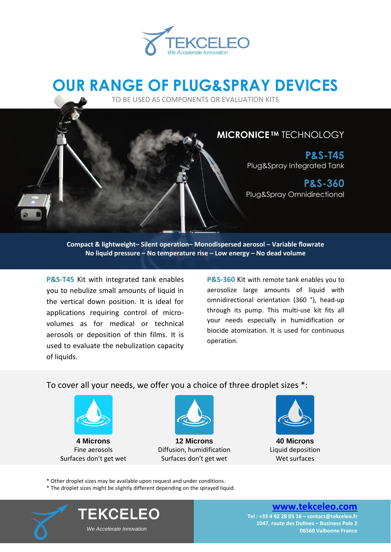

# **OUR RANGE OF PLUG&SPRAY DEVICES**

TO BE USED AS COMPONENTS OR EVALUATION KITS

#### **[MICRONICE](#page-1-0) TM** TECHNOLOGY

**P&S-T45** Plug&Spray Integrated Tank

**P&S-360** Plug&Spray Omnidirectional

**Compact & lightweight– Silent operation– Monodispersed aerosol – Variable flowrate No liquid pressure – No temperature rise – Low energy – No dead volume**

**P&S-T45** Kit with integrated tank enables you to nebulize small amounts of liquid in the vertical down position. It is ideal for applications requiring control of microvolumes as for medical or technical aerosols or deposition of thin films. It is used to evaluate the nebulization capacity of liquids.

**P&S-360** Kit with remote tank enables you to aerosolize large amounts of liquid with omnidirectional orientation (360 °), head-up through its pump. This multi-use kit fits all your needs especially in humidification or biocide atomization. It is used for continuous operation.

To cover all your needs, we offer you a choice of three droplet sizes \*:



Fine aerosols Surfaces don't get wet



**12 Microns** Diffusion, humidification Surfaces don't get wet



**40 Microns** Liquid deposition Wet surfaces

\* Other droplet sizes may be available upon request and under conditions.

\* The droplet sizes might be slightly different depending on the sprayed liquid.



**TEKCELEO**  *We Accelerate Innovation*

**[www.tekceleo.com](http://www.tekceleo.com/)**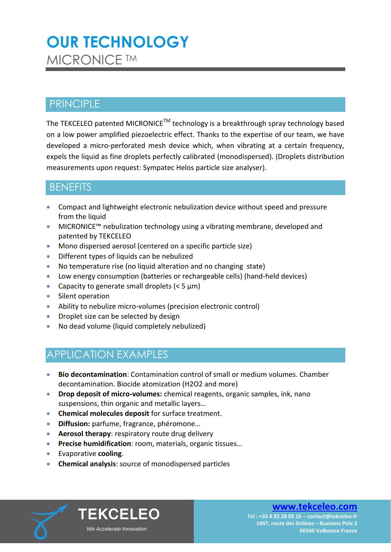## <span id="page-1-0"></span>**OUR TECHNOLOGY MICRONICE TM**

### **PRINCIPLE**

The TEKCELEO patented MICRONICE™ technology is a breakthrough spray technology based on a low power amplified piezoelectric effect. Thanks to the expertise of our team, we have developed a micro-perforated mesh device which, when vibrating at a certain frequency, expels the liquid as fine droplets perfectly calibrated (monodispersed). (Droplets distribution measurements upon request: Sympatec Helos particle size analyser).

### **BENEFITS**

- Compact and lightweight electronic nebulization device without speed and pressure from the liquid
- MICRONICE™ nebulization technology using a vibrating membrane, developed and patented by TEKCELEO
- Mono dispersed aerosol (centered on a specific particle size)
- **•** Different types of liquids can be nebulized
- No temperature rise (no liquid alteration and no changing state)
- Low energy consumption (batteries or rechargeable cells) (hand-held devices)
- Capacity to generate small droplets  $(< 5 \mu m)$
- Silent operation
- Ability to nebulize micro-volumes (precision electronic control)
- Droplet size can be selected by design
- No dead volume (liquid completely nebulized)

### APPLICATION EXAMPLES

- **Bio decontamination**: Contamination control of small or medium volumes. Chamber decontamination. Biocide atomization (H2O2 and more)
- **Drop deposit of micro-volumes:** chemical reagents, organic samples, ink, nano suspensions, thin organic and metallic layers…
- **Chemical molecules deposit** for surface treatment.
- **Diffusion:** parfume, fragrance, phéromone…
- **Aerosol therapy:** respiratory route drug delivery
- **Precise humidification**: room, materials, organic tissues…
- Evaporative **cooling**.
- **Chemical analysis**: source of monodispersed particles



#### **[www.tekceleo.com](http://www.tekceleo.com/)**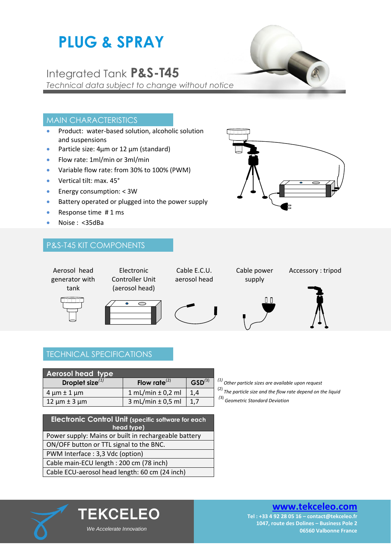# **PLUG & SPRAY**

### Integrated Tank **P&S-T45**

*Technical data subject to change without notice*

#### MAIN CHARACTERISTICS

- Product: water-based solution, alcoholic solution and suspensions
- Particle size:  $4\mu$ m or 12  $\mu$ m (standard)
- Flow rate: 1ml/min or 3ml/min
- Variable flow rate: from 30% to 100% (PWM)
- Vertical tilt: max. 45°
- **Energy consumption: < 3W**
- Battery operated or plugged into the power supply
- Response time  $# 1 ms$
- Noise : <35dBa

#### P&S-T45 KIT COMPONENTS





Cable E.C.U. aerosol head



Accessory : tripod



#### TECHNICAL SPECIFICATIONS

| <b>Aerosol head type</b> |                         |             |
|--------------------------|-------------------------|-------------|
| Droplet size $^{(1)}$    | Flow rate $^{(2)}$      | $GSD^{(3)}$ |
| $4 \mu m \pm 1 \mu m$    | 1 mL/min $\pm$ 0,2 ml   | 1.4         |
| $12 \mu m \pm 3 \mu m$   | $3$ mL/min $\pm$ 0,5 ml | 1.7         |

| <b>Electronic Control Unit (specific software for each</b><br>head type) |  |  |
|--------------------------------------------------------------------------|--|--|
| Power supply: Mains or built in rechargeable battery                     |  |  |
| ON/OFF button or TTL signal to the BNC.                                  |  |  |
| PWM Interface: 3,3 Vdc (option)                                          |  |  |
| Cable main-ECU length: 200 cm (78 inch)                                  |  |  |
| Cable ECU-aerosol head length: 60 cm (24 inch)                           |  |  |

**TEKCELEO**

 *We Accelerate Innovation*

- **Droplet size***(1)* **Flow rate**(2) **GSD***(*3) *(1) Other particle sizes are available upon request*
- (2) *The particle size and the flow rate depend on the liquid*
- *(*3) *Geometric Standard Deviation*



#### **[www.tekceleo.com](http://www.tekceleo.com/)**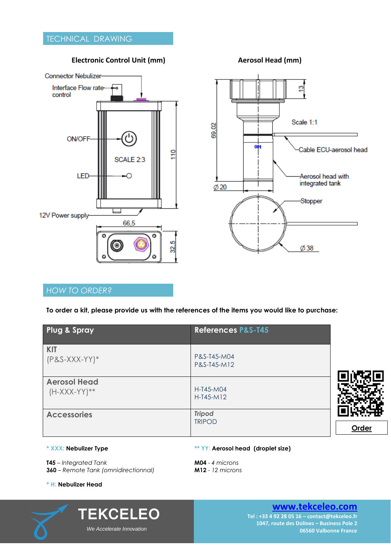#### **Electronic Control Unit (mm) Aerosol Head (mm)**



# Scale 1:1 မ  $69$  $\alpha$ Cable ECU-aerosol head Aerosol head with integrated tank  $\emptyset$  20 Stopper  $\varnothing$  38

#### *HOW TO ORDER?*

**To order a kit, please provide us with the references of the items you would like to purchase:** 

| <b>Plug &amp; Spray</b>                | <b>References P&amp;S-T45</b>  |       |
|----------------------------------------|--------------------------------|-------|
| <b>KIT</b><br>$(P&S-XXX-YY)*$          | P&S-T45-M04<br>P&S-T45-M12     |       |
| <b>Aerosol Head</b><br>$(H-XXX-YY)$ ** | H-T45-M04<br>$H-T45-M12$       |       |
| <b>Accessories</b>                     | <b>Tripod</b><br><b>TRIPOD</b> | Order |

#### **\* XXX: Nebulizer Type**

**T45** – *Integrated Tank* **360** – *Remote Tank (omnidirectionnal)*

#### **\*\* YY**: **Aerosol head (droplet size)**

**M04** - *4 microns* **M12** - *12 microns*

#### **\* H: Nebulizer Head**



**TEKCELEO**  *We Accelerate Innovation*

**[www.tekceleo.com](http://www.tekceleo.com/)**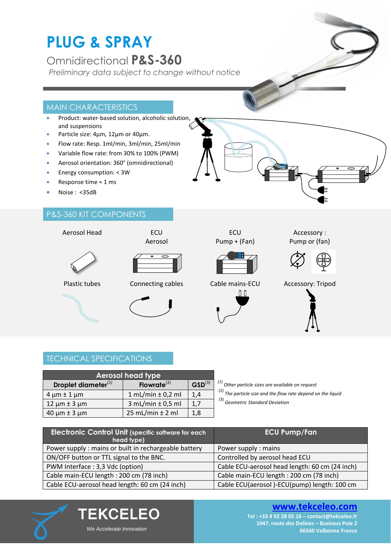# **PLUG & SPRAY**

Omnidirectional **P&S-360**

*Preliminary data subject to change without notice*

#### MAIN CHARACTERISTICS

- Product: water-based solution, alcoholic solution, and suspensions
- Particle size: 4µm, 12µm or 40µm.
- Flow rate: Resp. 1ml/min, 3ml/min, 25ml/min
- Variable flow rate: from 30% to 100% (PWM)
- Aerosol orientation: 360° (omnidirectional)
- Energy consumption: < 3W
- Response time ≈ 1 ms
- Noise : <35dB

#### P&S-360 KIT COMPONENTS

Aerosol Head **ECU** 

Aerosol















Accessory : Pump or (fan)



Plastic tubes Connecting cables Cable mains-ECU Accessory: Tripod



### TECHNICAL SPECIFICATIONS

| <b>Aerosol head type</b>  |                         |             |
|---------------------------|-------------------------|-------------|
| Droplet diameter $^{(1)}$ | Flowrate $^{(2)}$       | $GSD^{(3)}$ |
| $4 \mu m \pm 1 \mu m$     | $1 mL/min \pm 0.2 ml$   | 1,4         |
| $12 \mu m \pm 3 \mu m$    | $3$ mL/min $\pm$ 0,5 ml | 1,7         |
| $40 \mu m \pm 3 \mu m$    | $25$ mL/min $\pm$ 2 ml  | 1,8         |

**TEKCELEO**

 *We Accelerate Innovation*

**Droplet diameter***(1)* **Flowrate**(2) **GSD**(3) *(1) Other particle sizes are available on request*

(2) *The particle size and the flow rate depend on the liquid*

*(*3) *Geometric Standard Deviation*

| <b>Electronic Control Unit (specific software for each)</b><br>head type) | <b>ECU Pump/Fan</b>                            |
|---------------------------------------------------------------------------|------------------------------------------------|
| Power supply: mains or built in rechargeable battery                      | Power supply: mains                            |
| ON/OFF button or TTL signal to the BNC.                                   | Controlled by aerosol head ECU                 |
| PWM Interface: 3,3 Vdc (option)                                           | Cable ECU-aerosol head length: 60 cm (24 inch) |
| Cable main-ECU length: 200 cm (78 inch)                                   | Cable main-ECU length: 200 cm (78 inch)        |
| Cable ECU-aerosol head length: 60 cm (24 inch)                            | Cable ECU(aerosol)-ECU(pump) length: 100 cm    |



#### **[www.tekceleo.com](http://www.tekceleo.com/)**